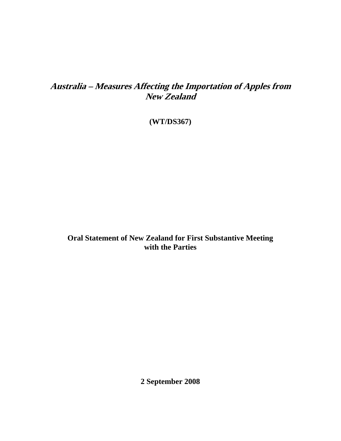# **Australia – Measures Affecting the Importation of Apples from New Zealand**

**(WT/DS367)** 

**Oral Statement of New Zealand for First Substantive Meeting with the Parties** 

**2 September 2008**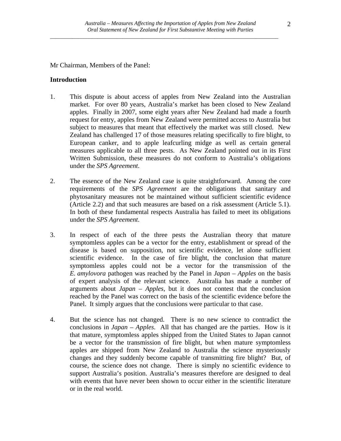Mr Chairman, Members of the Panel:

#### **Introduction**

- 1. This dispute is about access of apples from New Zealand into the Australian market. For over 80 years, Australia's market has been closed to New Zealand apples. Finally in 2007, some eight years after New Zealand had made a fourth request for entry, apples from New Zealand were permitted access to Australia but subject to measures that meant that effectively the market was still closed. New Zealand has challenged 17 of those measures relating specifically to fire blight, to European canker, and to apple leafcurling midge as well as certain general measures applicable to all three pests. As New Zealand pointed out in its First Written Submission, these measures do not conform to Australia's obligations under the *SPS Agreement*.
- 2. The essence of the New Zealand case is quite straightforward. Among the core requirements of the *SPS Agreement* are the obligations that sanitary and phytosanitary measures not be maintained without sufficient scientific evidence (Article 2.2) and that such measures are based on a risk assessment (Article 5.1). In both of these fundamental respects Australia has failed to meet its obligations under the *SPS Agreement*.
- 3. In respect of each of the three pests the Australian theory that mature symptomless apples can be a vector for the entry, establishment or spread of the disease is based on supposition, not scientific evidence, let alone sufficient scientific evidence. In the case of fire blight, the conclusion that mature symptomless apples could not be a vector for the transmission of the *E. amylovora* pathogen was reached by the Panel in *Japan – Apples* on the basis of expert analysis of the relevant science. Australia has made a number of arguments about *Japan – Apples*, but it does not contest that the conclusion reached by the Panel was correct on the basis of the scientific evidence before the Panel. It simply argues that the conclusions were particular to that case.
- 4. But the science has not changed. There is no new science to contradict the conclusions in *Japan – Apples*. All that has changed are the parties. How is it that mature, symptomless apples shipped from the United States to Japan cannot be a vector for the transmission of fire blight, but when mature symptomless apples are shipped from New Zealand to Australia the science mysteriously changes and they suddenly become capable of transmitting fire blight? But, of course, the science does not change. There is simply no scientific evidence to support Australia's position. Australia's measures therefore are designed to deal with events that have never been shown to occur either in the scientific literature or in the real world.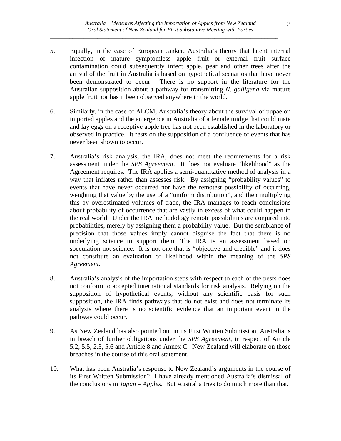- 5. Equally, in the case of European canker, Australia's theory that latent internal infection of mature symptomless apple fruit or external fruit surface contamination could subsequently infect apple, pear and other trees after the arrival of the fruit in Australia is based on hypothetical scenarios that have never been demonstrated to occur. There is no support in the literature for the Australian supposition about a pathway for transmitting *N. galligena* via mature apple fruit nor has it been observed anywhere in the world.
- 6. Similarly, in the case of ALCM, Australia's theory about the survival of pupae on imported apples and the emergence in Australia of a female midge that could mate and lay eggs on a receptive apple tree has not been established in the laboratory or observed in practice. It rests on the supposition of a confluence of events that has never been shown to occur.
- 7. Australia's risk analysis, the IRA, does not meet the requirements for a risk assessment under the *SPS Agreement*. It does not evaluate "likelihood" as the Agreement requires. The IRA applies a semi-quantitative method of analysis in a way that inflates rather than assesses risk. By assigning "probability values" to events that have never occurred nor have the remotest possibility of occurring, weighting that value by the use of a "uniform distribution", and then multiplying this by overestimated volumes of trade, the IRA manages to reach conclusions about probability of occurrence that are vastly in excess of what could happen in the real world. Under the IRA methodology remote possibilities are conjured into probabilities, merely by assigning them a probability value. But the semblance of precision that those values imply cannot disguise the fact that there is no underlying science to support them. The IRA is an assessment based on speculation not science. It is not one that is "objective and credible" and it does not constitute an evaluation of likelihood within the meaning of the *SPS Agreement*.
- 8. Australia's analysis of the importation steps with respect to each of the pests does not conform to accepted international standards for risk analysis. Relying on the supposition of hypothetical events, without any scientific basis for such supposition, the IRA finds pathways that do not exist and does not terminate its analysis where there is no scientific evidence that an important event in the pathway could occur.
- 9. As New Zealand has also pointed out in its First Written Submission, Australia is in breach of further obligations under the *SPS Agreement*, in respect of Article 5.2, 5.5, 2.3, 5.6 and Article 8 and Annex C. New Zealand will elaborate on those breaches in the course of this oral statement.
- 10. What has been Australia's response to New Zealand's arguments in the course of its First Written Submission? I have already mentioned Australia's dismissal of the conclusions in *Japan – Apples*. But Australia tries to do much more than that.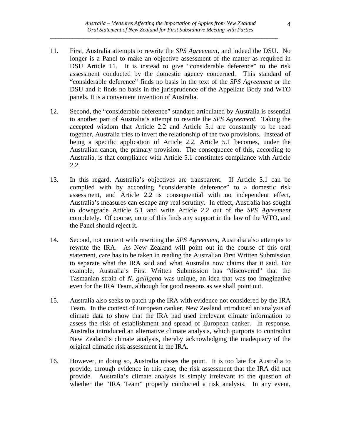- 11. First, Australia attempts to rewrite the *SPS Agreement*, and indeed the DSU. No longer is a Panel to make an objective assessment of the matter as required in DSU Article 11. It is instead to give "considerable deference" to the risk assessment conducted by the domestic agency concerned. This standard of "considerable deference" finds no basis in the text of the *SPS Agreement* or the DSU and it finds no basis in the jurisprudence of the Appellate Body and WTO panels. It is a convenient invention of Australia.
- 12. Second, the "considerable deference" standard articulated by Australia is essential to another part of Australia's attempt to rewrite the *SPS Agreement*. Taking the accepted wisdom that Article 2.2 and Article 5.1 are constantly to be read together, Australia tries to invert the relationship of the two provisions. Instead of being a specific application of Article 2.2, Article 5.1 becomes, under the Australian canon, the primary provision. The consequence of this, according to Australia, is that compliance with Article 5.1 constitutes compliance with Article 2.2.
- 13. In this regard, Australia's objectives are transparent. If Article 5.1 can be complied with by according "considerable deference" to a domestic risk assessment, and Article 2.2 is consequential with no independent effect, Australia's measures can escape any real scrutiny. In effect, Australia has sought to downgrade Article 5.1 and write Article 2.2 out of the *SPS Agreement* completely. Of course, none of this finds any support in the law of the WTO, and the Panel should reject it.
- 14. Second, not content with rewriting the *SPS Agreement*, Australia also attempts to rewrite the IRA. As New Zealand will point out in the course of this oral statement, care has to be taken in reading the Australian First Written Submission to separate what the IRA said and what Australia now claims that it said. For example, Australia's First Written Submission has "discovered" that the Tasmanian strain of *N. galligena* was unique, an idea that was too imaginative even for the IRA Team, although for good reasons as we shall point out.
- 15. Australia also seeks to patch up the IRA with evidence not considered by the IRA Team. In the context of European canker, New Zealand introduced an analysis of climate data to show that the IRA had used irrelevant climate information to assess the risk of establishment and spread of European canker. In response, Australia introduced an alternative climate analysis, which purports to contradict New Zealand's climate analysis, thereby acknowledging the inadequacy of the original climatic risk assessment in the IRA.
- 16. However, in doing so, Australia misses the point. It is too late for Australia to provide, through evidence in this case, the risk assessment that the IRA did not provide. Australia's climate analysis is simply irrelevant to the question of whether the "IRA Team" properly conducted a risk analysis. In any event,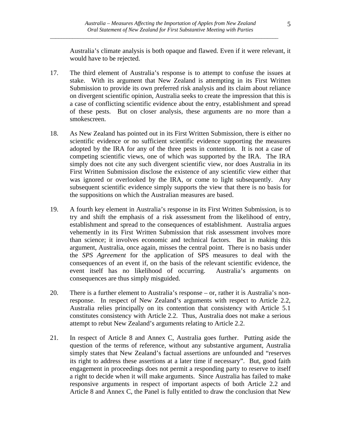Australia's climate analysis is both opaque and flawed. Even if it were relevant, it would have to be rejected.

- 17. The third element of Australia's response is to attempt to confuse the issues at stake. With its argument that New Zealand is attempting in its First Written Submission to provide its own preferred risk analysis and its claim about reliance on divergent scientific opinion, Australia seeks to create the impression that this is a case of conflicting scientific evidence about the entry, establishment and spread of these pests. But on closer analysis, these arguments are no more than a smokescreen.
- 18. As New Zealand has pointed out in its First Written Submission, there is either no scientific evidence or no sufficient scientific evidence supporting the measures adopted by the IRA for any of the three pests in contention. It is not a case of competing scientific views, one of which was supported by the IRA. The IRA simply does not cite any such divergent scientific view, nor does Australia in its First Written Submission disclose the existence of any scientific view either that was ignored or overlooked by the IRA, or come to light subsequently. Any subsequent scientific evidence simply supports the view that there is no basis for the suppositions on which the Australian measures are based.
- 19. A fourth key element in Australia's response in its First Written Submission, is to try and shift the emphasis of a risk assessment from the likelihood of entry, establishment and spread to the consequences of establishment. Australia argues vehemently in its First Written Submission that risk assessment involves more than science; it involves economic and technical factors. But in making this argument, Australia, once again, misses the central point. There is no basis under the *SPS Agreement* for the application of SPS measures to deal with the consequences of an event if, on the basis of the relevant scientific evidence, the event itself has no likelihood of occurring. Australia's arguments on consequences are thus simply misguided.
- 20. There is a further element to Australia's response or, rather it is Australia's nonresponse. In respect of New Zealand's arguments with respect to Article 2.2, Australia relies principally on its contention that consistency with Article 5.1 constitutes consistency with Article 2.2. Thus, Australia does not make a serious attempt to rebut New Zealand's arguments relating to Article 2.2.
- 21. In respect of Article 8 and Annex C, Australia goes further. Putting aside the question of the terms of reference, without any substantive argument, Australia simply states that New Zealand's factual assertions are unfounded and "reserves its right to address these assertions at a later time if necessary". But, good faith engagement in proceedings does not permit a responding party to reserve to itself a right to decide when it will make arguments. Since Australia has failed to make responsive arguments in respect of important aspects of both Article 2.2 and Article 8 and Annex C, the Panel is fully entitled to draw the conclusion that New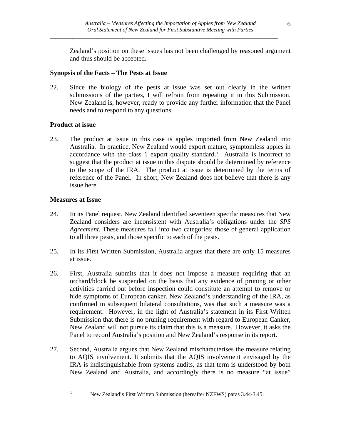Zealand's position on these issues has not been challenged by reasoned argument and thus should be accepted.

#### **Synopsis of the Facts – The Pests at Issue**

22. Since the biology of the pests at issue was set out clearly in the written submissions of the parties, I will refrain from repeating it in this Submission. New Zealand is, however, ready to provide any further information that the Panel needs and to respond to any questions.

#### **Product at issue**

23. The product at issue in this case is apples imported from New Zealand into Australia. In practice, New Zealand would export mature, symptomless apples in  $accordance$  with the class [1](#page-5-0) export quality standard.<sup>1</sup> Australia is incorrect to suggest that the product at issue in this dispute should be determined by reference to the scope of the IRA. The product at issue is determined by the terms of reference of the Panel. In short, New Zealand does not believe that there is any issue here.

#### **Measures at Issue**

- 24. In its Panel request, New Zealand identified seventeen specific measures that New Zealand considers are inconsistent with Australia's obligations under the *SPS Agreement*. These measures fall into two categories; those of general application to all three pests, and those specific to each of the pests.
- 25. In its First Written Submission, Australia argues that there are only 15 measures at issue.
- 26. First, Australia submits that it does not impose a measure requiring that an orchard/block be suspended on the basis that any evidence of pruning or other activities carried out before inspection could constitute an attempt to remove or hide symptoms of European canker. New Zealand's understanding of the IRA, as confirmed in subsequent bilateral consultations, was that such a measure was a requirement. However, in the light of Australia's statement in its First Written Submission that there is no pruning requirement with regard to European Canker, New Zealand will not pursue its claim that this is a measure. However, it asks the Panel to record Australia's position and New Zealand's response in its report.
- 27. Second, Australia argues that New Zealand mischaracterises the measure relating to AQIS involvement. It submits that the AQIS involvement envisaged by the IRA is indistinguishable from systems audits, as that term is understood by both New Zealand and Australia, and accordingly there is no measure "at issue"

1

<span id="page-5-0"></span><u>.</u>

New Zealand's First Written Submission (hereafter NZFWS) paras 3.44-3.45.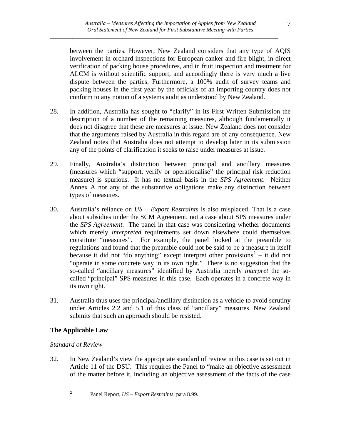between the parties. However, New Zealand considers that any type of AQIS involvement in orchard inspections for European canker and fire blight, in direct verification of packing house procedures, and in fruit inspection and treatment for ALCM is without scientific support, and accordingly there is very much a live dispute between the parties. Furthermore, a 100% audit of survey teams and packing houses in the first year by the officials of an importing country does not conform to any notion of a systems audit as understood by New Zealand.

- 28. In addition, Australia has sought to "clarify" in its First Written Submission the description of a number of the remaining measures, although fundamentally it does not disagree that these are measures at issue. New Zealand does not consider that the arguments raised by Australia in this regard are of any consequence. New Zealand notes that Australia does not attempt to develop later in its submission any of the points of clarification it seeks to raise under measures at issue.
- 29. Finally, Australia's distinction between principal and ancillary measures (measures which "support, verify or operationalise" the principal risk reduction measure) is spurious. It has no textual basis in the *SPS Agreement*. Neither Annex A nor any of the substantive obligations make any distinction between types of measures.
- 30. Australia's reliance on *US Export Restraints* is also misplaced. That is a case about subsidies under the SCM Agreement, not a case about SPS measures under the *SPS Agreement*. The panel in that case was considering whether documents which merely *interpreted* requirements set down elsewhere could themselves constitute "measures". For example, the panel looked at the preamble to regulations and found that the preamble could not be said to be a measure in itself because it did not "do anything" except interpret other provisions<sup>[2](#page-6-0)</sup> – it did not "operate in some concrete way in its own right." There is no suggestion that the so-called "ancillary measures" identified by Australia merely *interpret* the socalled "principal" SPS measures in this case. Each operates in a concrete way in its own right.
- 31. Australia thus uses the principal/ancillary distinction as a vehicle to avoid scrutiny under Articles 2.2 and 5.1 of this class of "ancillary" measures. New Zealand submits that such an approach should be resisted.

## **The Applicable Law**

## *Standard of Review*

2

<span id="page-6-0"></span><u>.</u>

32. In New Zealand's view the appropriate standard of review in this case is set out in Article 11 of the DSU. This requires the Panel to "make an objective assessment of the matter before it, including an objective assessment of the facts of the case

Panel Report, *US – Export Restraints*, para 8.99.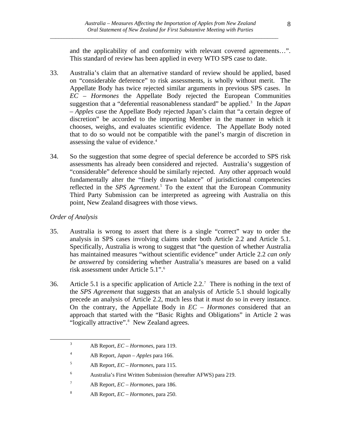and the applicability of and conformity with relevant covered agreements…". This standard of review has been applied in every WTO SPS case to date.

- 33. Australia's claim that an alternative standard of review should be applied, based on "considerable deference" to risk assessments, is wholly without merit. The Appellate Body has twice rejected similar arguments in previous SPS cases. In *EC – Hormones* the Appellate Body rejected the European Communities suggestion that a "deferential reasonableness standard" be applied.<sup>[3](#page-7-0)</sup> In the *Japan – Apples* case the Appellate Body rejected Japan's claim that "a certain degree of discretion" be accorded to the importing Member in the manner in which it chooses, weighs, and evaluates scientific evidence. The Appellate Body noted that to do so would not be compatible with the panel's margin of discretion in assessing the value of evidence.[4](#page-7-1)
- 34. So the suggestion that some degree of special deference be accorded to SPS risk assessments has already been considered and rejected. Australia's suggestion of "considerable" deference should be similarly rejected. Any other approach would fundamentally alter the "finely drawn balance" of jurisdictional competencies reflected in the *SPS Agreement*. [5](#page-7-2) To the extent that the European Community Third Party Submission can be interpreted as agreeing with Australia on this point, New Zealand disagrees with those views.

#### *Order of Analysis*

<span id="page-7-4"></span><span id="page-7-3"></span><span id="page-7-2"></span><span id="page-7-1"></span><span id="page-7-0"></span>1

- 35. Australia is wrong to assert that there is a single "correct" way to order the analysis in SPS cases involving claims under both Article 2.2 and Article 5.1. Specifically, Australia is wrong to suggest that "the question of whether Australia has maintained measures "without scientific evidence" under Article 2.2 *can only be answered* by considering whether Australia's measures are based on a valid risk assessment under Article 5.1".[6](#page-7-3)
- 36. Article 5.1 is a specific application of Article 2.2.<sup>[7](#page-7-4)</sup> There is nothing in the text of the *SPS Agreement* that suggests that an analysis of Article 5.1 should logically precede an analysis of Article 2.2, much less that it *must* do so in every instance. On the contrary, the Appellate Body in *EC – Hormones* considered that an approach that started with the "Basic Rights and Obligations" in Article 2 was "logically attractive".<sup>[8](#page-7-5)</sup> New Zealand agrees.

AB Report, *EC – Hormones*, para 119.

<sup>4</sup> AB Report, *Japan – Apples* para 166.

<sup>5</sup> AB Report, *EC – Hormones,* para 115.

<sup>6</sup> Australia's First Written Submission (hereafter AFWS) para 219.

<sup>7</sup> AB Report, *EC – Hormones*, para 186.

<span id="page-7-5"></span><sup>8</sup> AB Report, *EC – Hormones*, para 250.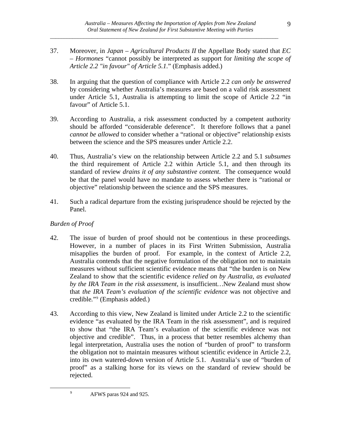- 37. Moreover, in *Japan Agricultural Products II* the Appellate Body stated that *EC – Hormones* "cannot possibly be interpreted as support for *limiting the scope of Article 2.2 "in favour" of Article 5.1.*" (Emphasis added.)
- 38. In arguing that the question of compliance with Article 2.2 *can only be answered* by considering whether Australia's measures are based on a valid risk assessment under Article 5.1, Australia is attempting to limit the scope of Article 2.2 "in favour" of Article 5.1.
- 39. According to Australia, a risk assessment conducted by a competent authority should be afforded "considerable deference". It therefore follows that a panel *cannot be allowed* to consider whether a "rational or objective" relationship exists between the science and the SPS measures under Article 2.2.
- 40. Thus, Australia's view on the relationship between Article 2.2 and 5.1 *subsumes* the third requirement of Article 2.2 within Article 5.1, and then through its standard of review *drains it of any substantive content*. The consequence would be that the panel would have no mandate to assess whether there is "rational or objective" relationship between the science and the SPS measures.
- 41. Such a radical departure from the existing jurisprudence should be rejected by the Panel.

## *Burden of Proof*

<span id="page-8-0"></span><u>.</u>

- 42. The issue of burden of proof should not be contentious in these proceedings. However, in a number of places in its First Written Submission, Australia misapplies the burden of proof. For example, in the context of Article 2.2, Australia contends that the negative formulation of the obligation not to maintain measures without sufficient scientific evidence means that "the burden is on New Zealand to show that the scientific evidence *relied on by Australia, as evaluated by the IRA Team in the risk assessment*, is insufficient*…*New Zealand must show that *the IRA Team's evaluation of the scientific evidence* was not objective and credible*.*"[9](#page-8-0) (Emphasis added.)
- 43. According to this view, New Zealand is limited under Article 2.2 to the scientific evidence "as evaluated by the IRA Team in the risk assessment", and is required to show that "the IRA Team's evaluation of the scientific evidence was not objective and credible". Thus, in a process that better resembles alchemy than legal interpretation, Australia uses the notion of "burden of proof" to transform the obligation not to maintain measures without scientific evidence in Article 2.2, into its own watered-down version of Article 5.1. Australia's use of "burden of proof" as a stalking horse for its views on the standard of review should be rejected.

AFWS paras 924 and 925.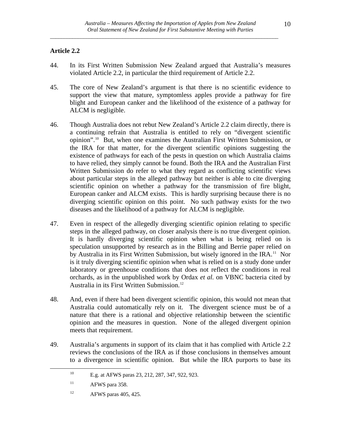## **Article 2.2**

- 44. In its First Written Submission New Zealand argued that Australia's measures violated Article 2.2, in particular the third requirement of Article 2.2.
- 45. The core of New Zealand's argument is that there is no scientific evidence to support the view that mature, symptomless apples provide a pathway for fire blight and European canker and the likelihood of the existence of a pathway for ALCM is negligible.
- 46. Though Australia does not rebut New Zealand's Article 2.2 claim directly, there is a continuing refrain that Australia is entitled to rely on "divergent scientific opinion".[10](#page-9-0) But, when one examines the Australian First Written Submission, or the IRA for that matter, for the divergent scientific opinions suggesting the existence of pathways for each of the pests in question on which Australia claims to have relied, they simply cannot be found. Both the IRA and the Australian First Written Submission do refer to what they regard as conflicting scientific views about particular steps in the alleged pathway but neither is able to cite diverging scientific opinion on whether a pathway for the transmission of fire blight, European canker and ALCM exists. This is hardly surprising because there is no diverging scientific opinion on this point. No such pathway exists for the two diseases and the likelihood of a pathway for ALCM is negligible.
- 47. Even in respect of the allegedly diverging scientific opinion relating to specific steps in the alleged pathway, on closer analysis there is no true divergent opinion. It is hardly diverging scientific opinion when what is being relied on is speculation unsupported by research as in the Billing and Berrie paper relied on by Australia in its First Written Submission, but wisely ignored in the IRA.<sup>[11](#page-9-1)</sup> Nor is it truly diverging scientific opinion when what is relied on is a study done under laboratory or greenhouse conditions that does not reflect the conditions in real orchards, as in the unpublished work by Ordax *et al.* on VBNC bacteria cited by Australia in its First Written Submission.[12](#page-9-2)
- 48. And, even if there had been divergent scientific opinion, this would not mean that Australia could automatically rely on it. The divergent science must be of a nature that there is a rational and objective relationship between the scientific opinion and the measures in question. None of the alleged divergent opinion meets that requirement.
- <span id="page-9-1"></span><span id="page-9-0"></span>49. Australia's arguments in support of its claim that it has complied with Article 2.2 reviews the conclusions of the IRA as if those conclusions in themselves amount to a divergence in scientific opinion. But while the IRA purports to base its

<sup>10</sup> E.g. at AFWS paras 23, 212, 287, 347, 922, 923.

 $11$  AFWS para 358.

<span id="page-9-2"></span> $12$  AFWS paras 405, 425.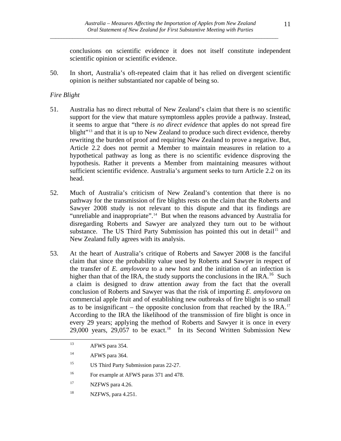conclusions on scientific evidence it does not itself constitute independent scientific opinion or scientific evidence.

50. In short, Australia's oft-repeated claim that it has relied on divergent scientific opinion is neither substantiated nor capable of being so.

## *Fire Blight*

- 51. Australia has no direct rebuttal of New Zealand's claim that there is no scientific support for the view that mature symptomless apples provide a pathway. Instead, it seems to argue that "there *is no direct evidence* that apples do not spread fire blight"<sup>[13](#page-10-0)</sup> and that it is up to New Zealand to produce such direct evidence, thereby rewriting the burden of proof and requiring New Zealand to prove a negative. But, Article 2.2 does not permit a Member to maintain measures in relation to a hypothetical pathway as long as there is no scientific evidence disproving the hypothesis. Rather it prevents a Member from maintaining measures without sufficient scientific evidence. Australia's argument seeks to turn Article 2.2 on its head.
- 52. Much of Australia's criticism of New Zealand's contention that there is no pathway for the transmission of fire blights rests on the claim that the Roberts and Sawyer 2008 study is not relevant to this dispute and that its findings are "unreliable and inappropriate".<sup>[14](#page-10-1)</sup> But when the reasons advanced by Australia for disregarding Roberts and Sawyer are analyzed they turn out to be without substance. The US Third Party Submission has pointed this out in detail<sup>[15](#page-10-2)</sup> and New Zealand fully agrees with its analysis.
- 53. At the heart of Australia's critique of Roberts and Sawyer 2008 is the fanciful claim that since the probability value used by Roberts and Sawyer in respect of the transfer of *E. amylovora* to a new host and the initiation of an infection is higher than that of the IRA, the study supports the conclusions in the IRA.<sup>[16](#page-10-3)</sup> Such a claim is designed to draw attention away from the fact that the overall conclusion of Roberts and Sawyer was that the risk of importing *E. amylovora* on commercial apple fruit and of establishing new outbreaks of fire blight is so small as to be insignificant – the opposite conclusion from that reached by the IRA.<sup>[17](#page-10-4)</sup> According to the IRA the likelihood of the transmission of fire blight is once in every 29 years; applying the method of Roberts and Sawyer it is once in every 29,000 years, 29,057 to be exact.<sup>[18](#page-10-5)</sup> In its Second Written Submission New

- <span id="page-10-4"></span><sup>17</sup> NZFWS para 4.26.
- <span id="page-10-5"></span>18 NZFWS, para 4.251.

<span id="page-10-0"></span><sup>&</sup>lt;sup>13</sup> AFWS para 354.

<span id="page-10-1"></span><sup>&</sup>lt;sup>14</sup> AFWS para 364.

<span id="page-10-2"></span><sup>&</sup>lt;sup>15</sup> US Third Party Submission paras 22-27.

<span id="page-10-3"></span><sup>&</sup>lt;sup>16</sup> For example at AFWS paras 371 and 478.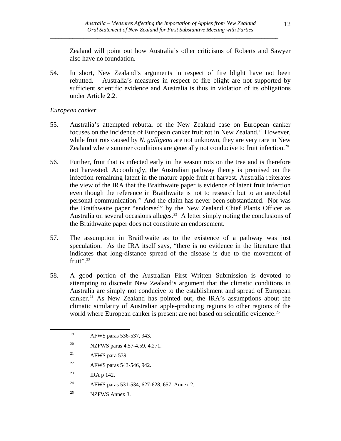Zealand will point out how Australia's other criticisms of Roberts and Sawyer also have no foundation.

54. In short, New Zealand's arguments in respect of fire blight have not been rebutted. Australia's measures in respect of fire blight are not supported by sufficient scientific evidence and Australia is thus in violation of its obligations under Article 2.2.

## *European canker*

- 55. Australia's attempted rebuttal of the New Zealand case on European canker focuses on the incidence of European canker fruit rot in New Zealand.<sup>[19](#page-11-0)</sup> However, while fruit rots caused by *N. galligena* are not unknown, they are very rare in New Zealand where summer conditions are generally not conducive to fruit infection.<sup>[20](#page-11-1)</sup>
- 56. Further, fruit that is infected early in the season rots on the tree and is therefore not harvested. Accordingly, the Australian pathway theory is premised on the infection remaining latent in the mature apple fruit at harvest. Australia reiterates the view of the IRA that the Braithwaite paper is evidence of latent fruit infection even though the reference in Braithwaite is not to research but to an anecdotal personal communication.[21](#page-11-2) And the claim has never been substantiated. Nor was the Braithwaite paper "endorsed" by the New Zealand Chief Plants Officer as Australia on several occasions alleges.<sup>[22](#page-11-3)</sup> A letter simply noting the conclusions of the Braithwaite paper does not constitute an endorsement.
- 57. The assumption in Braithwaite as to the existence of a pathway was just speculation. As the IRA itself says, "there is no evidence in the literature that indicates that long-distance spread of the disease is due to the movement of fruit".<sup>[23](#page-11-4)</sup>
- 58. A good portion of the Australian First Written Submission is devoted to attempting to discredit New Zealand's argument that the climatic conditions in Australia are simply not conducive to the establishment and spread of European canker.[24](#page-11-5) As New Zealand has pointed out, the IRA's assumptions about the climatic similarity of Australian apple-producing regions to other regions of the world where European canker is present are not based on scientific evidence.<sup>[25](#page-11-6)</sup>

<span id="page-11-4"></span><span id="page-11-3"></span><span id="page-11-2"></span><span id="page-11-1"></span><span id="page-11-0"></span><u>.</u>

<span id="page-11-6"></span><sup>25</sup> NZFWS Annex 3.

<sup>19</sup> AFWS paras 536-537, 943.

<sup>20</sup> NZFWS paras 4.57-4.59, 4.271.

 $21$  AFWS para 539.

<sup>22</sup> AFWS paras 543-546, 942.

<sup>&</sup>lt;sup>23</sup> IRA p 142.

<span id="page-11-5"></span><sup>24</sup> AFWS paras 531-534, 627-628, 657, Annex 2.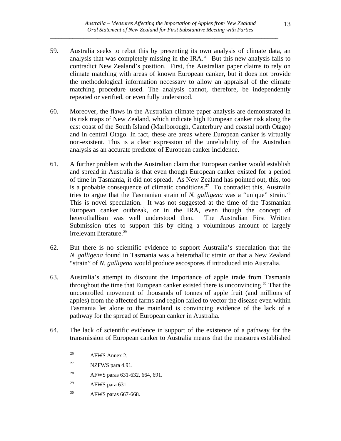- 59. Australia seeks to rebut this by presenting its own analysis of climate data, an analysis that was completely missing in the IRA.<sup>[26](#page-12-0)</sup> But this new analysis fails to contradict New Zealand's position. First, the Australian paper claims to rely on climate matching with areas of known European canker, but it does not provide the methodological information necessary to allow an appraisal of the climate matching procedure used. The analysis cannot, therefore, be independently repeated or verified, or even fully understood.
- 60. Moreover, the flaws in the Australian climate paper analysis are demonstrated in its risk maps of New Zealand, which indicate high European canker risk along the east coast of the South Island (Marlborough, Canterbury and coastal north Otago) and in central Otago. In fact, these are areas where European canker is virtually non-existent. This is a clear expression of the unreliability of the Australian analysis as an accurate predictor of European canker incidence.
- 61. A further problem with the Australian claim that European canker would establish and spread in Australia is that even though European canker existed for a period of time in Tasmania, it did not spread. As New Zealand has pointed out, this, too is a probable consequence of climatic conditions.<sup>[27](#page-12-1)</sup> To contradict this, Australia tries to argue that the Tasmanian strain of *N. galligena* was a "unique" strain.[28](#page-12-2)  This is novel speculation. It was not suggested at the time of the Tasmanian European canker outbreak, or in the IRA, even though the concept of heterothallism was well understood then. The Australian First Written Submission tries to support this by citing a voluminous amount of largely irrelevant literature.<sup>[29](#page-12-3)</sup>
- 62. But there is no scientific evidence to support Australia's speculation that the *N. galligena* found in Tasmania was a heterothallic strain or that a New Zealand "strain" of *N. galligena* would produce ascospores if introduced into Australia.
- 63. Australia's attempt to discount the importance of apple trade from Tasmania throughout the time that European canker existed there is unconvincing.[30](#page-12-4) That the uncontrolled movement of thousands of tonnes of apple fruit (and millions of apples) from the affected farms and region failed to vector the disease even within Tasmania let alone to the mainland is convincing evidence of the lack of a pathway for the spread of European canker in Australia.
- <span id="page-12-2"></span><span id="page-12-1"></span><span id="page-12-0"></span>64. The lack of scientific evidence in support of the existence of a pathway for the transmission of European canker to Australia means that the measures established

- 28 AFWS paras 631-632, 664, 691.
- <span id="page-12-3"></span> $29$  AFWS para 631.
- <span id="page-12-4"></span>30 AFWS paras 667-668.

<sup>&</sup>lt;sup>26</sup> AFWS Annex 2.

<sup>&</sup>lt;sup>27</sup> NZFWS para 4.91.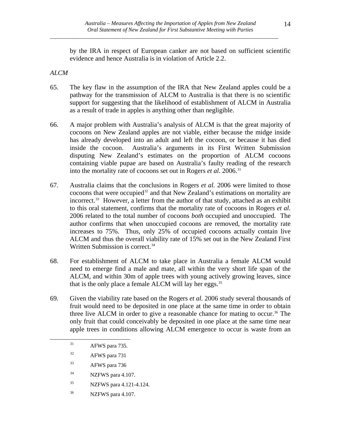by the IRA in respect of European canker are not based on sufficient scientific evidence and hence Australia is in violation of Article 2.2.

#### *ALCM*

- 65. The key flaw in the assumption of the IRA that New Zealand apples could be a pathway for the transmission of ALCM to Australia is that there is no scientific support for suggesting that the likelihood of establishment of ALCM in Australia as a result of trade in apples is anything other than negligible.
- 66. A major problem with Australia's analysis of ALCM is that the great majority of cocoons on New Zealand apples are not viable, either because the midge inside has already developed into an adult and left the cocoon, or because it has died inside the cocoon. Australia's arguments in its First Written Submission disputing New Zealand's estimates on the proportion of ALCM cocoons containing viable pupae are based on Australia's faulty reading of the research into the mortality rate of cocoons set out in Rogers *et al.* 2006.<sup>[31](#page-13-0)</sup>
- 67. Australia claims that the conclusions in Rogers *et al.* 2006 were limited to those cocoons that were occupied<sup>[32](#page-13-1)</sup> and that New Zealand's estimations on mortality are incorrect.<sup>[33](#page-13-2)</sup> However, a letter from the author of that study, attached as an exhibit to this oral statement, confirms that the mortality rate of cocoons in Rogers *et al.* 2006 related to the total number of cocoons *both* occupied and unoccupied. The author confirms that when unoccupied cocoons are removed, the mortality rate increases to 75%. Thus, only 25% of occupied cocoons actually contain live ALCM and thus the overall viability rate of 15% set out in the New Zealand First Written Submission is correct.<sup>[34](#page-13-3)</sup>
- 68. For establishment of ALCM to take place in Australia a female ALCM would need to emerge find a male and mate, all within the very short life span of the ALCM, and within 30m of apple trees with young actively growing leaves, since that is the only place a female ALCM will lay her eggs. $35$
- <span id="page-13-0"></span>69. Given the viability rate based on the Rogers *et al.* 2006 study several thousands of fruit would need to be deposited in one place at the same time in order to obtain three live ALCM in order to give a reasonable chance for mating to occur.<sup>[36](#page-13-5)</sup> The only fruit that could conceivably be deposited in one place at the same time near apple trees in conditions allowing ALCM emergence to occur is waste from an

- <span id="page-13-1"></span>32 AFWS para 731
- <span id="page-13-2"></span>33 AFWS para 736
- <span id="page-13-3"></span>34 NZFWS para 4.107.
- <span id="page-13-4"></span>35 NZFWS para 4.121-4.124.
- <span id="page-13-5"></span>36 NZFWS para 4.107.

<sup>&</sup>lt;sup>31</sup> AFWS para 735.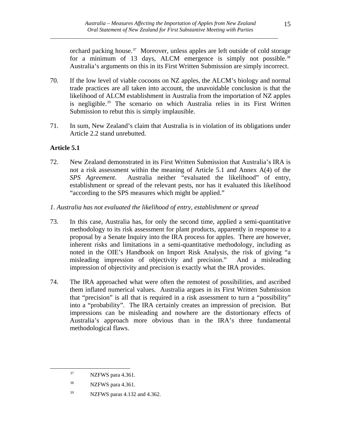orchard packing house.<sup>[37](#page-14-0)</sup> Moreover, unless apples are left outside of cold storage for a minimum of 13 days, ALCM emergence is simply not possible.<sup>38</sup> Australia's arguments on this in its First Written Submission are simply incorrect.

- 70. If the low level of viable cocoons on NZ apples, the ALCM's biology and normal trade practices are all taken into account, the unavoidable conclusion is that the likelihood of ALCM establishment in Australia from the importation of NZ apples is negligible.<sup>[39](#page-14-2)</sup> The scenario on which Australia relies in its First Written Submission to rebut this is simply implausible.
- 71. In sum, New Zealand's claim that Australia is in violation of its obligations under Article 2.2 stand unrebutted.

# **Article 5.1**

- 72. New Zealand demonstrated in its First Written Submission that Australia's IRA is not a risk assessment within the meaning of Article 5.1 and Annex A(4) of the *SPS Agreement*. Australia neither "evaluated the likelihood" of entry, establishment or spread of the relevant pests, nor has it evaluated this likelihood "according to the SPS measures which might be applied."
- *1. Australia has not evaluated the likelihood of entry, establishment or spread*
- 73. In this case, Australia has, for only the second time, applied a semi-quantitative methodology to its risk assessment for plant products, apparently in response to a proposal by a Senate Inquiry into the IRA process for apples. There are however, inherent risks and limitations in a semi-quantitative methodology, including as noted in the OIE's Handbook on Import Risk Analysis, the risk of giving "a misleading impression of objectivity and precision." And a misleading impression of objectivity and precision is exactly what the IRA provides.
- 74. The IRA approached what were often the remotest of possibilities, and ascribed them inflated numerical values. Australia argues in its First Written Submission that "precision" is all that is required in a risk assessment to turn a "possibility" into a "probability". The IRA certainly creates an impression of precision. But impressions can be misleading and nowhere are the distortionary effects of Australia's approach more obvious than in the IRA's three fundamental methodological flaws.

<span id="page-14-0"></span><sup>37</sup> NZFWS para 4.361.

<span id="page-14-1"></span><sup>38</sup> NZFWS para 4.361.

<span id="page-14-2"></span><sup>39</sup> NZFWS paras 4.132 and 4.362.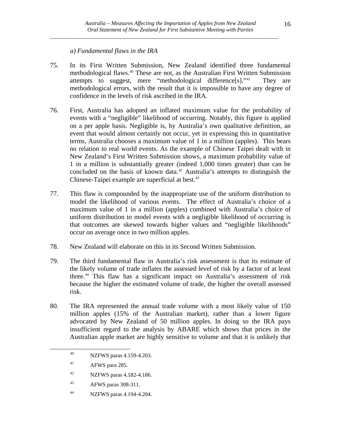## *a) Fundamental flaws in the IRA*

- 75. In its First Written Submission, New Zealand identified three fundamental methodological flaws.[40](#page-15-0) These are not, as the Australian First Written Submission attempts to suggest, mere "methodological difference[s]."[41](#page-15-1) They are methodological errors, with the result that it is impossible to have any degree of confidence in the levels of risk ascribed in the IRA.
- 76. First, Australia has adopted an inflated maximum value for the probability of events with a "negligible" likelihood of occurring. Notably, this figure is applied on a per apple basis. Negligible is, by Australia's own qualitative definition, an event that would almost certainly not occur, yet in expressing this in quantitative terms, Australia chooses a maximum value of 1 in a million (apples). This bears no relation to real world events. As the example of Chinese Taipei dealt with in New Zealand's First Written Submission shows, a maximum probability value of 1 in a million is substantially greater (indeed 1,000 times greater) than can be concluded on the basis of known data.<sup>[42](#page-15-2)</sup> Australia's attempts to distinguish the Chinese-Taipei example are superficial at best.<sup>[43](#page-15-3)</sup>
- 77. This flaw is compounded by the inappropriate use of the uniform distribution to model the likelihood of various events. The effect of Australia's choice of a maximum value of 1 in a million (apples) combined with Australia's choice of uniform distribution to model events with a negligible likelihood of occurring is that outcomes are skewed towards higher values and "negligible likelihoods" occur on average once in two million apples.
- 78. New Zealand will elaborate on this in its Second Written Submission.
- 79. The third fundamental flaw in Australia's risk assessment is that its estimate of the likely volume of trade inflates the assessed level of risk by a factor of at least three.[44](#page-15-4) This flaw has a significant impact on Australia's assessment of risk because the higher the estimated volume of trade, the higher the overall assessed risk.
- 80. The IRA represented the annual trade volume with a most likely value of 150 million apples (15% of the Australian market), rather than a lower figure advocated by New Zealand of 50 million apples. In doing so the IRA pays insufficient regard to the analysis by ABARE which shows that prices in the Australian apple market are highly sensitive to volume and that it is unlikely that

<span id="page-15-4"></span><span id="page-15-3"></span><span id="page-15-2"></span><span id="page-15-1"></span><span id="page-15-0"></span>1

44 NZFWS paras 4.194-4.204.

<sup>40</sup> NZFWS paras 4.159-4.203.

<sup>&</sup>lt;sup>41</sup> AFWS para 285.

<sup>42</sup> NZFWS paras 4.182-4.186.

<sup>43</sup> AFWS paras 308-311.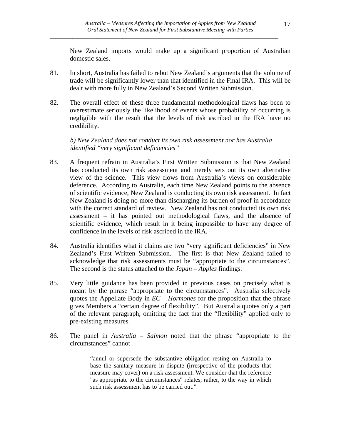New Zealand imports would make up a significant proportion of Australian domestic sales.

- 81. In short, Australia has failed to rebut New Zealand's arguments that the volume of trade will be significantly lower than that identified in the Final IRA. This will be dealt with more fully in New Zealand's Second Written Submission.
- 82. The overall effect of these three fundamental methodological flaws has been to overestimate seriously the likelihood of events whose probability of occurring is negligible with the result that the levels of risk ascribed in the IRA have no credibility.

*b) New Zealand does not conduct its own risk assessment nor has Australia identified "very significant deficiencies"* 

- 83. A frequent refrain in Australia's First Written Submission is that New Zealand has conducted its own risk assessment and merely sets out its own alternative view of the science. This view flows from Australia's views on considerable deference. According to Australia, each time New Zealand points to the absence of scientific evidence, New Zealand is conducting its own risk assessment. In fact New Zealand is doing no more than discharging its burden of proof in accordance with the correct standard of review. New Zealand has not conducted its own risk assessment – it has pointed out methodological flaws, and the absence of scientific evidence, which result in it being impossible to have any degree of confidence in the levels of risk ascribed in the IRA.
- 84. Australia identifies what it claims are two "very significant deficiencies" in New Zealand's First Written Submission. The first is that New Zealand failed to acknowledge that risk assessments must be "appropriate to the circumstances". The second is the status attached to the *Japan – Apples* findings.
- 85. Very little guidance has been provided in previous cases on precisely what is meant by the phrase "appropriate to the circumstances". Australia selectively quotes the Appellate Body in *EC – Hormones* for the proposition that the phrase gives Members a "certain degree of flexibility". But Australia quotes only a part of the relevant paragraph, omitting the fact that the "flexibility" applied only to pre-existing measures.
- 86. The panel in *Australia Salmon* noted that the phrase "appropriate to the circumstances" cannot

"annul or supersede the substantive obligation resting on Australia to base the sanitary measure in dispute (irrespective of the products that measure may cover) on a risk assessment. We consider that the reference "as appropriate to the circumstances" relates, rather, to the way in which such risk assessment has to be carried out."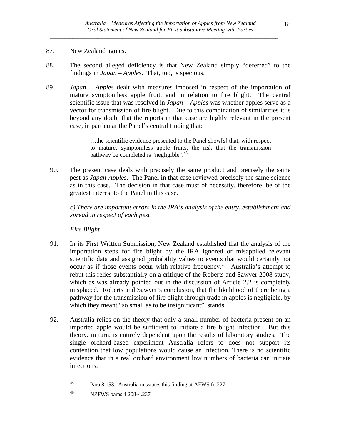## 87. New Zealand agrees.

- 88. The second alleged deficiency is that New Zealand simply "deferred" to the findings in *Japan – Apples*. That, too, is specious.
- 89. *Japan Apples* dealt with measures imposed in respect of the importation of mature symptomless apple fruit, and in relation to fire blight. The central scientific issue that was resolved in *Japan – Apples* was whether apples serve as a vector for transmission of fire blight. Due to this combination of similarities it is beyond any doubt that the reports in that case are highly relevant in the present case, in particular the Panel's central finding that:

…the scientific evidence presented to the Panel show[s] that, with respect to mature, symptomless apple fruits, the risk that the transmission pathway be completed is "negligible".<sup>[45](#page-17-0)</sup>

90. The present case deals with precisely the same product and precisely the same pest as *Japan-Apples*. The Panel in that case reviewed precisely the same science as in this case. The decision in that case must of necessity, therefore, be of the greatest interest to the Panel in this case.

*c) There are important errors in the IRA's analysis of the entry, establishment and spread in respect of each pest* 

 *Fire Blight* 

- 91. In its First Written Submission, New Zealand established that the analysis of the importation steps for fire blight by the IRA ignored or misapplied relevant scientific data and assigned probability values to events that would certainly not occur as if those events occur with relative frequency.<sup>[46](#page-17-1)</sup> Australia's attempt to rebut this relies substantially on a critique of the Roberts and Sawyer 2008 study, which as was already pointed out in the discussion of Article 2.2 is completely misplaced. Roberts and Sawyer's conclusion, that the likelihood of there being a pathway for the transmission of fire blight through trade in apples is negligible, by which they meant "so small as to be insignificant", stands.
- 92. Australia relies on the theory that only a small number of bacteria present on an imported apple would be sufficient to initiate a fire blight infection. But this theory, in turn, is entirely dependent upon the results of laboratory studies. The single orchard-based experiment Australia refers to does not support its contention that low populations would cause an infection. There is no scientific evidence that in a real orchard environment low numbers of bacteria can initiate infections.

<span id="page-17-0"></span><sup>45</sup> Para 8.153. Australia misstates this finding at AFWS fn 227.

<span id="page-17-1"></span><sup>46</sup> NZFWS paras 4.208-4.237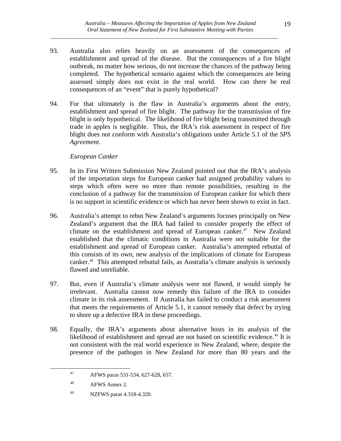- 93. Australia also relies heavily on an assessment of the consequences of establishment and spread of the disease. But the consequences of a fire blight outbreak, no matter how serious, do not increase the chances of the pathway being completed. The hypothetical scenario against which the consequences are being assessed simply does not exist in the real world. How can there be real consequences of an "event" that is purely hypothetical?
- 94. For that ultimately is the flaw in Australia's arguments about the entry, establishment and spread of fire blight. The pathway for the transmission of fire blight is only hypothetical. The likelihood of fire blight being transmitted through trade in apples is negligible. Thus, the IRA's risk assessment in respect of fire blight does not conform with Australia's obligations under Article 5.1 of the *SPS Agreement*.

## *European Canker*

- 95. In its First Written Submission New Zealand pointed out that the IRA's analysis of the importation steps for European canker had assigned probability values to steps which often were no more than remote possibilities, resulting in the conclusion of a pathway for the transmission of European canker for which there is no support in scientific evidence or which has never been shown to exist in fact.
- 96. Australia's attempt to rebut New Zealand's arguments focuses principally on New Zealand's argument that the IRA had failed to consider properly the effect of climate on the establishment and spread of European canker.<sup>[47](#page-18-0)</sup> New Zealand established that the climatic conditions in Australia were not suitable for the establishment and spread of European canker. Australia's attempted rebuttal of this consists of its own, new analysis of the implications of climate for European canker.[48](#page-18-1) This attempted rebuttal fails, as Australia's climate analysis is seriously flawed and unreliable.
- 97. But, even if Australia's climate analysis were not flawed, it would simply be irrelevant. Australia cannot now remedy this failure of the IRA to consider climate in its risk assessment. If Australia has failed to conduct a risk assessment that meets the requirements of Article 5.1, it cannot remedy that defect by trying to shore up a defective IRA in these proceedings.
- <span id="page-18-0"></span>98. Equally, the IRA's arguments about alternative hosts in its analysis of the likelihood of establishment and spread are not based on scientific evidence.<sup>[49](#page-18-2)</sup> It is not consistent with the real world experience in New Zealand, where, despite the presence of the pathogen in New Zealand for more than 80 years and the

<sup>47</sup> AFWS paras 531-534, 627-628, 657.

<span id="page-18-1"></span><sup>48</sup> AFWS Annex 2.

<span id="page-18-2"></span><sup>49</sup> NZFWS paras 4.318-4.320.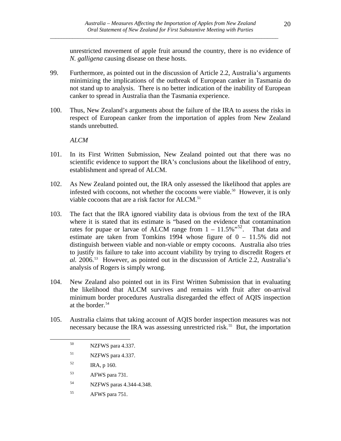unrestricted movement of apple fruit around the country, there is no evidence of *N. galligena* causing disease on these hosts.

- 99. Furthermore, as pointed out in the discussion of Article 2.2, Australia's arguments minimizing the implications of the outbreak of European canker in Tasmania do not stand up to analysis. There is no better indication of the inability of European canker to spread in Australia than the Tasmania experience.
- 100. Thus, New Zealand's arguments about the failure of the IRA to assess the risks in respect of European canker from the importation of apples from New Zealand stands unrebutted.

#### *ALCM*

- 101. In its First Written Submission, New Zealand pointed out that there was no scientific evidence to support the IRA's conclusions about the likelihood of entry, establishment and spread of ALCM.
- 102. As New Zealand pointed out, the IRA only assessed the likelihood that apples are infested with cocoons, not whether the cocoons were viable.<sup>[50](#page-19-0)</sup> However, it is only viable cocoons that are a risk factor for ALCM.<sup>[51](#page-19-1)</sup>
- 103. The fact that the IRA ignored viability data is obvious from the text of the IRA where it is stated that its estimate is "based on the evidence that contamination rates for pupae or larvae of ALCM range from  $1 - 11.5\%$ <sup>[52](#page-19-2)</sup>. That data and estimate are taken from Tomkins 1994 whose figure of 0 – 11.5% did not distinguish between viable and non-viable or empty cocoons. Australia also tries to justify its failure to take into account viability by trying to discredit Rogers *et al.* 2006.[53](#page-19-3) However, as pointed out in the discussion of Article 2.2, Australia's analysis of Rogers is simply wrong.
- 104. New Zealand also pointed out in its First Written Submission that in evaluating the likelihood that ALCM survives and remains with fruit after on-arrival minimum border procedures Australia disregarded the effect of AQIS inspection at the border.[54](#page-19-4)
- <span id="page-19-2"></span><span id="page-19-1"></span><span id="page-19-0"></span>105. Australia claims that taking account of AQIS border inspection measures was not necessary because the IRA was assessing unrestricted risk.<sup>[55](#page-19-5)</sup> But, the importation

- 51 NZFWS para 4.337.
- $IRA, p 160.$

- <span id="page-19-3"></span>53 AFWS para 731.
- <span id="page-19-4"></span>54 NZFWS paras 4.344-4.348.
- <span id="page-19-5"></span>55 AFWS para 751.

<sup>50</sup> NZFWS para 4.337.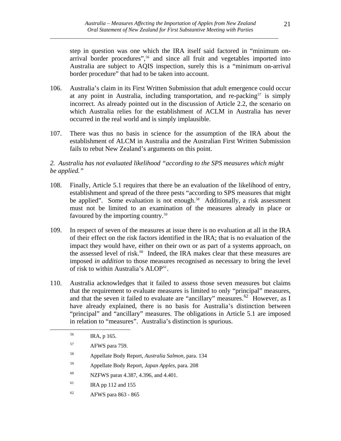step in question was one which the IRA itself said factored in "minimum on-arrival border procedures",<sup>[56](#page-20-0)</sup> and since all fruit and vegetables imported into Australia are subject to AQIS inspection, surely this is a "minimum on-arrival border procedure" that had to be taken into account.

- 106. Australia's claim in its First Written Submission that adult emergence could occur at any point in Australia, including transportation, and re-packing $57$  is simply incorrect. As already pointed out in the discussion of Article 2.2, the scenario on which Australia relies for the establishment of ACLM in Australia has never occurred in the real world and is simply implausible.
- 107. There was thus no basis in science for the assumption of the IRA about the establishment of ALCM in Australia and the Australian First Written Submission fails to rebut New Zealand's arguments on this point.

#### *2. Australia has not evaluated likelihood "according to the SPS measures which might be applied."*

- 108. Finally, Article 5.1 requires that there be an evaluation of the likelihood of entry, establishment and spread of the three pests "according to SPS measures that might be applied". Some evaluation is not enough.<sup>[58](#page-20-2)</sup> Additionally, a risk assessment must not be limited to an examination of the measures already in place or favoured by the importing country.<sup>[59](#page-20-3)</sup>
- 109. In respect of seven of the measures at issue there is no evaluation at all in the IRA of their effect on the risk factors identified in the IRA; that is no evaluation of the impact they would have, either on their own or as part of a systems approach, on the assessed level of risk.<sup>[60](#page-20-4)</sup> Indeed, the IRA makes clear that these measures are imposed *in addition* to those measures recognised as necessary to bring the level of risk to within Australia's ALOP<sup>[61](#page-20-5)</sup>.
- 110. Australia acknowledges that it failed to assess those seven measures but claims that the requirement to evaluate measures is limited to only "principal" measures, and that the seven it failed to evaluate are "ancillary" measures.<sup>[62](#page-20-6)</sup> However, as I have already explained, there is no basis for Australia's distinction between "principal" and "ancillary" measures. The obligations in Article 5.1 are imposed in relation to "measures". Australia's distinction is spurious.

<span id="page-20-4"></span><span id="page-20-3"></span><span id="page-20-2"></span><span id="page-20-1"></span><span id="page-20-0"></span><u>.</u>

- 58 Appellate Body Report, *Australia Salmon,* para. 134
- 59 Appellate Body Report, *Japan Apples*, para. 208
- 60 NZFWS paras 4.387, 4.396, and 4.401.
- <span id="page-20-5"></span> $IRA$  pp 112 and 155
- <span id="page-20-6"></span>62 AFWS para 863 - 865

<sup>56</sup> IRA, p 165.

<sup>57</sup> AFWS para 759.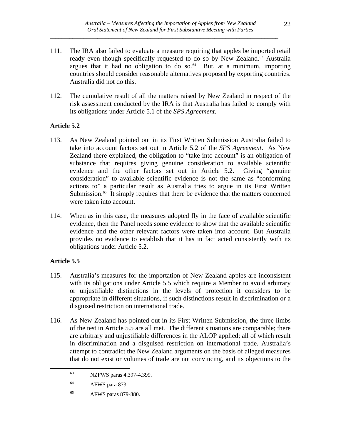- 111. The IRA also failed to evaluate a measure requiring that apples be imported retail ready even though specifically requested to do so by New Zealand.<sup>[63](#page-21-0)</sup> Australia argues that it had no obligation to do so. $64$  But, at a minimum, importing countries should consider reasonable alternatives proposed by exporting countries. Australia did not do this.
- 112. The cumulative result of all the matters raised by New Zealand in respect of the risk assessment conducted by the IRA is that Australia has failed to comply with its obligations under Article 5.1 of the *SPS Agreement*.

## **Article 5.2**

- 113. As New Zealand pointed out in its First Written Submission Australia failed to take into account factors set out in Article 5.2 of the *SPS Agreement*. As New Zealand there explained, the obligation to "take into account" is an obligation of substance that requires giving genuine consideration to available scientific evidence and the other factors set out in Article 5.2. Giving "genuine consideration" to available scientific evidence is not the same as "conforming actions to" a particular result as Australia tries to argue in its First Written Submission.<sup>[65](#page-21-2)</sup> It simply requires that there be evidence that the matters concerned were taken into account.
- 114. When as in this case, the measures adopted fly in the face of available scientific evidence, then the Panel needs some evidence to show that the available scientific evidence and the other relevant factors were taken into account. But Australia provides no evidence to establish that it has in fact acted consistently with its obligations under Article 5.2.

# **Article 5.5**

- 115. Australia's measures for the importation of New Zealand apples are inconsistent with its obligations under Article 5.5 which require a Member to avoid arbitrary or unjustifiable distinctions in the levels of protection it considers to be appropriate in different situations, if such distinctions result in discrimination or a disguised restriction on international trade.
- 116. As New Zealand has pointed out in its First Written Submission, the three limbs of the test in Article 5.5 are all met. The different situations are comparable; there are arbitrary and unjustifiable differences in the ALOP applied; all of which result in discrimination and a disguised restriction on international trade. Australia's attempt to contradict the New Zealand arguments on the basis of alleged measures that do not exist or volumes of trade are not convincing, and its objections to the

<span id="page-21-0"></span><sup>63</sup> NZFWS paras 4.397-4.399.

<span id="page-21-1"></span><sup>64</sup> AFWS para 873.

<span id="page-21-2"></span><sup>65</sup> AFWS paras 879-880.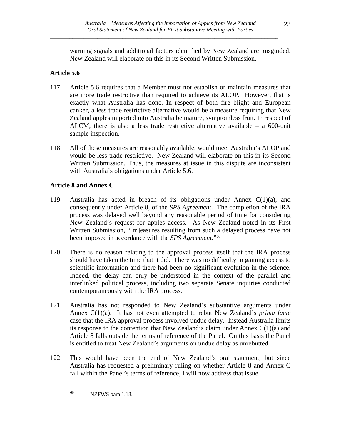warning signals and additional factors identified by New Zealand are misguided. New Zealand will elaborate on this in its Second Written Submission.

# **Article 5.6**

- 117. Article 5.6 requires that a Member must not establish or maintain measures that are more trade restrictive than required to achieve its ALOP. However, that is exactly what Australia has done. In respect of both fire blight and European canker, a less trade restrictive alternative would be a measure requiring that New Zealand apples imported into Australia be mature, symptomless fruit. In respect of ALCM, there is also a less trade restrictive alternative available – a 600-unit sample inspection.
- 118. All of these measures are reasonably available, would meet Australia's ALOP and would be less trade restrictive. New Zealand will elaborate on this in its Second Written Submission. Thus, the measures at issue in this dispute are inconsistent with Australia's obligations under Article 5.6.

# **Article 8 and Annex C**

- 119. Australia has acted in breach of its obligations under Annex  $C(1)(a)$ , and consequently under Article 8, of the *SPS Agreement*. The completion of the IRA process was delayed well beyond any reasonable period of time for considering New Zealand's request for apples access. As New Zealand noted in its First Written Submission, "[m]easures resulting from such a delayed process have not been imposed in accordance with the *SPS Agreement*."[66](#page-22-0)
- 120. There is no reason relating to the approval process itself that the IRA process should have taken the time that it did. There was no difficulty in gaining access to scientific information and there had been no significant evolution in the science. Indeed, the delay can only be understood in the context of the parallel and interlinked political process, including two separate Senate inquiries conducted contemporaneously with the IRA process.
- 121. Australia has not responded to New Zealand's substantive arguments under Annex C(1)(a). It has not even attempted to rebut New Zealand's *prima facie* case that the IRA approval process involved undue delay. Instead Australia limits its response to the contention that New Zealand's claim under Annex  $C(1)(a)$  and Article 8 falls outside the terms of reference of the Panel. On this basis the Panel is entitled to treat New Zealand's arguments on undue delay as unrebutted.
- 122. This would have been the end of New Zealand's oral statement, but since Australia has requested a preliminary ruling on whether Article 8 and Annex C fall within the Panel's terms of reference, I will now address that issue.

<span id="page-22-0"></span><u>.</u>

<sup>66</sup> NZFWS para 1.18.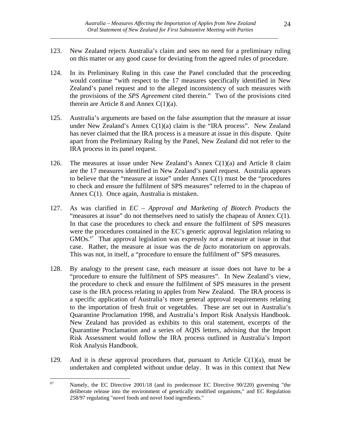- 123. New Zealand rejects Australia's claim and sees no need for a preliminary ruling on this matter or any good cause for deviating from the agreed rules of procedure.
- 124. In its Preliminary Ruling in this case the Panel concluded that the proceeding would continue "with respect to the 17 measures specifically identified in New Zealand's panel request and to the alleged inconsistency of such measures with the provisions of the *SPS Agreement* cited therein." Two of the provisions cited therein are Article 8 and Annex  $C(1)(a)$ .
- 125. Australia's arguments are based on the false assumption that the measure at issue under New Zealand's Annex C(1)(a) claim is the "IRA process". New Zealand has never claimed that the IRA process is a measure at issue in this dispute. Quite apart from the Preliminary Ruling by the Panel, New Zealand did not refer to the IRA process in its panel request.
- 126. The measures at issue under New Zealand's Annex  $C(1)(a)$  and Article 8 claim are the 17 measures identified in New Zealand's panel request. Australia appears to believe that the "measure at issue" under Annex C(1) must be the "procedures to check and ensure the fulfilment of SPS measures" referred to in the chapeau of Annex C(1). Once again, Australia is mistaken.
- 127. As was clarified in *EC Approval and Marketing of Biotech Products* the "measures at issue" do not themselves need to satisfy the chapeau of Annex C(1). In that case the procedures to check and ensure the fulfilment of SPS measures were the procedures contained in the EC's generic approval legislation relating to GMOs.[67](#page-23-0) That approval legislation was expressly *not* a measure at issue in that case. Rather, the measure at issue was the *de facto* moratorium on approvals. This was not, in itself, a "procedure to ensure the fulfilment of" SPS measures.
- 128. By analogy to the present case, each measure at issue does not have to be a "procedure to ensure the fulfilment of SPS measures". In New Zealand's view, the procedure to check and ensure the fulfilment of SPS measures in the present case is the IRA process relating to apples from New Zealand. The IRA process is a specific application of Australia's more general approval requirements relating to the importation of fresh fruit or vegetables. These are set out in Australia's Quarantine Proclamation 1998, and Australia's Import Risk Analysis Handbook. New Zealand has provided as exhibits to this oral statement, excerpts of the Quarantine Proclamation and a series of AQIS letters, advising that the Import Risk Assessment would follow the IRA process outlined in Australia's Import Risk Analysis Handbook.
- 129. And it is *these* approval procedures that, pursuant to Article C(1)(a), must be undertaken and completed without undue delay. It was in this context that New

<span id="page-23-0"></span><sup>67</sup> Namely, the EC Directive 2001/18 (and its predecessor EC Directive 90/220) governing "the deliberate release into the environment of genetically modified organisms," and EC Regulation 258/97 regulating "novel foods and novel food ingredients."